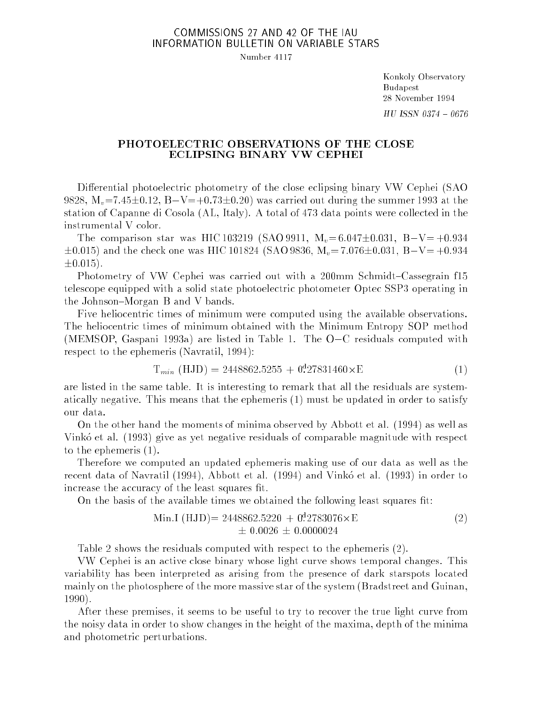## COMMISSIONS 27 AND 42 OF THE IAU INFORMATION BULLETIN ON VARIABLE STARS

Number 4117

Konkoly Observatory Budapest 28 November 1994  $HU$  ISSN 0374 - 0676

## PHOTOELECTRIC OBSERVATIONS OF THE CLOSE ECLIPSING BINARY VW CEPHEI

Differential photoelectric photometry of the close eclipsing binary VW Cephei (SAO 9828,  $M_v = 7.45 \pm 0.12$ ,  $B-V=+0.73 \pm 0.20$ ) was carried out during the summer 1993 at the station of Capanne di Cosola (AL, Italy). A total of 473 data points were collected in the instrumental V color.

The comparison star was HIC 103219 (SAO 9911,  $M_v=6.047\pm0.031$ , B $-V= +0.934$  $\pm 0.015$ ) and the check one was HIC 101824 (SAO 9836, M<sub>v</sub>= 7.076 $\pm 0.031$ , B-V= +0.934  $\pm 0.015$ .

Photometry of VW Cephei was carried out with a 200mm Schmidt–Cassegrain f15 telescope equipped with a solid state photoelectric photometer Optec SSP3 operating in the Johnson-Morgan B and V bands.

Five heliocentric times of minimum were computed using the available observations. The heliocentric times of minimum obtained with the Minimum Entropy SOP method (MEMSOP, Gaspani 1993a) are listed in Table 1. The  $O-C$  residuals computed with respect to the ephemeris (Navratil, 1994):

$$
T_{min} (HJD) = 2448862.5255 + 0.27831460 \times E
$$
 (1)

are listed in the same table. It is interesting to remark that all the residuals are systematically negative. This means that the ephemeris (1) must be updated in order to satisfy our data.

On the other hand the moments of minima observed by Abbott et al. (1994) as well as Vinkó et al. (1993) give as yet negative residuals of comparable magnitude with respect to the ephemeris (1).

Therefore we computed an updated ephemeris making use of our data as well as the recent data of Navratil (1994), Abbott et al. (1994) and Vinko et al. (1993) in order to increase the accuracy of the least squares fit.

On the basis of the available times we obtained the following least squares fit:

Min.I (HJD) = 
$$
2448862.5220 + 0.2783076 \times E
$$
  
\n $\pm 0.0026 \pm 0.0000024$  (2)

Table 2 shows the residuals computed with respect to the ephemeris (2).

VW Cephei is an active close binary whose light curve shows temporal changes. This variability has been interpreted as arising from the presence of dark starspots located mainly on the photosphere of the more massive star of the system (Bradstreet and Guinan, 1990).

After these premises, it seems to be useful to try to recover the true light curve from the noisy data in order to show changes in the height of the maxima, depth of the minima and photometric perturbations.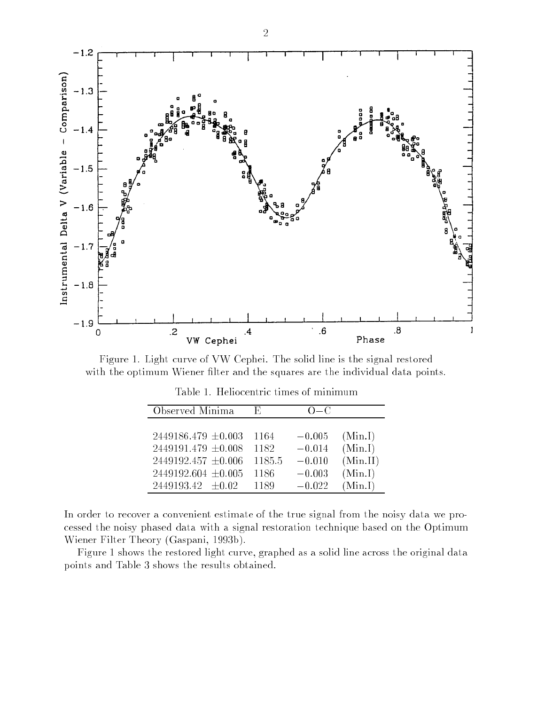

Figure 1. Light curve of VW Cephei. The solid line is the signal restored with the optimum Wiener filter and the squares are the individual data points.

| Observed Minima         | Е.     | $() = ()$ |          |
|-------------------------|--------|-----------|----------|
|                         |        |           |          |
| $2449186.479 \pm 0.003$ | 1164   | $-0.005$  | (Min.I)  |
| $2449191.479 \pm 0.008$ | 1182   | $-0.014$  | (Min.I)  |
| $2449192.457 \pm 0.006$ | 1185.5 | $-0.010$  | (Min.II) |
| $2449192.604 \pm 0.005$ | 1186   | $-0.003$  | (Min.I)  |
| $2449193.42 \pm 0.02$   | 1189   | $-0.022$  | (Min.I)  |

Table 1. Heliocentric times of minimum

In order to recover a convenient estimate of the true signal from the noisy data we processed the noisy phased data with a signal restoration technique based on the Optimum Wiener Filter Theory (Gaspani, 1993b).

Figure 1 shows the restored light curve, graphed as a solid line across the original data points and Table 3 shows the results obtained.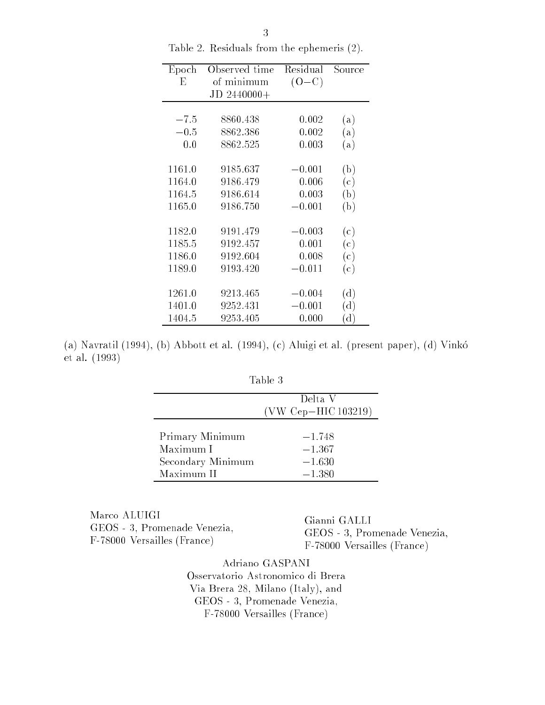| Epoch  | Observed time | Residual | Source         |
|--------|---------------|----------|----------------|
| Е      | of minimum    | $(O-C)$  |                |
|        | JD 2440000+   |          |                |
|        |               |          |                |
| $-7.5$ | 8860.438      | 0.002    | (a)            |
| $-0.5$ | 8862.386      | 0.002    | (a)            |
| 0.0    | 8862.525      | 0.003    | (a)            |
|        |               |          |                |
| 1161.0 | 9185.637      | $-0.001$ | (b)            |
| 1164.0 | 9186.479      | 0.006    | (c)            |
| 1164.5 | 9186.614      | 0.003    | (b)            |
| 1165.0 | 9186.750      | $-0.001$ | (b)            |
|        |               |          |                |
| 1182.0 | 9191.479      | $-0.003$ | (c)            |
| 1185.5 | 9192.457      | 0.001    | (c)            |
| 1186.0 | 9192.604      | 0.008    | (c)            |
| 1189.0 | 9193.420      | $-0.011$ | (c)            |
|        |               |          |                |
| 1261.0 | 9213.465      | $-0.004$ | $(\mathrm{d})$ |
| 1401.0 | 9252.431      | $-0.001$ | (d)            |
| 1404.5 | 9253.405      | 0.000    | $(\mathrm{d})$ |

Table 2. Residuals from the ephemeris (2).

(a) Navratil (1994), (b) Abbott et al. (1994), (c) Aluigi et al. (present paper), (d) Vinko et al. (1993)

| ,<br>1. |  |
|---------|--|
|---------|--|

|                   | Delta V<br>(VW Cep-HIC 103219) |
|-------------------|--------------------------------|
| Primary Minimum   | $-1.748$                       |
| Maximum I         | $-1.367$                       |
| Secondary Minimum | $-1.630$                       |
| Maximum II        | $-1.380$                       |

Marco ALUIGI GEOS - 3, Promenade Venezia, F-78000 Versailles (France)

Gianni GALLI GEOS - 3, Promenade Venezia, F-78000 Versailles (France)

Adriano GASPANI Osservatorio Astronomico di Brera Via Brera 28, Milano (Italy), and GEOS - 3, Promenade Venezia, F-78000 Versailles (France)